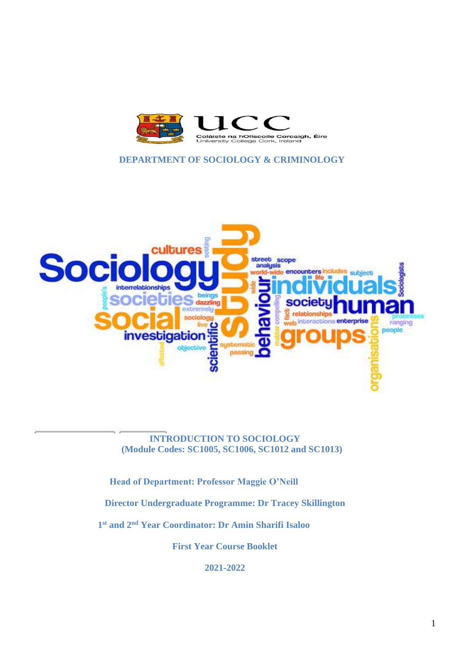

## **DEPARTMENT OF SOCIOLOGY & CRIMINOLOGY**



**INTRODUCTION TO SOCIOLOGY (Module Codes: SC1005, SC1006, SC1012 and SC1013)**

**Head of Department: Professor Maggie O'Neill**

**Director Undergraduate Programme: Dr Tracey Skillington**

**1 st and 2nd Year Coordinator: Dr Amin Sharifi Isaloo**

**First Year Course Booklet**

**2021-2022**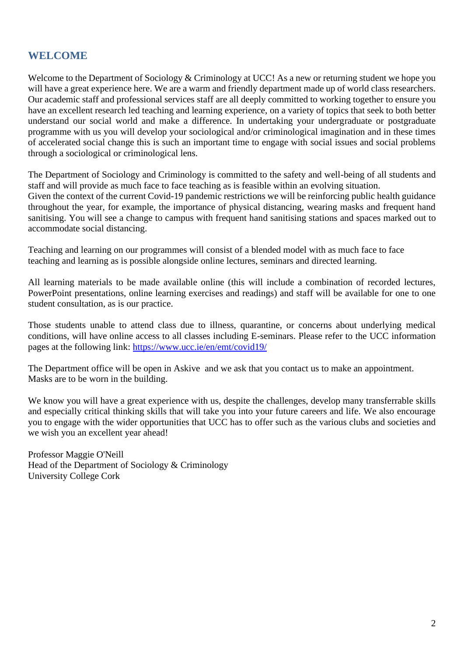# **WELCOME**

Welcome to the Department of Sociology & Criminology at UCC! As a new or returning student we hope you will have a great experience here. We are a warm and friendly department made up of world class researchers. Our academic staff and professional services staff are all deeply committed to working together to ensure you have an excellent research led teaching and learning experience, on a variety of topics that seek to both better understand our social world and make a difference. In undertaking your undergraduate or postgraduate programme with us you will develop your sociological and/or criminological imagination and in these times of accelerated social change this is such an important time to engage with social issues and social problems through a sociological or criminological lens.

The Department of Sociology and Criminology is committed to the safety and well-being of all students and staff and will provide as much face to face teaching as is feasible within an evolving situation. Given the context of the current Covid-19 pandemic restrictions we will be reinforcing public health guidance throughout the year, for example, the importance of physical distancing, wearing masks and frequent hand sanitising. You will see a change to campus with frequent hand sanitising stations and spaces marked out to accommodate social distancing.

Teaching and learning on our programmes will consist of a blended model with as much face to face teaching and learning as is possible alongside online lectures, seminars and directed learning.

All learning materials to be made available online (this will include a combination of recorded lectures, PowerPoint presentations, online learning exercises and readings) and staff will be available for one to one student consultation, as is our practice.

Those students unable to attend class due to illness, quarantine, or concerns about underlying medical conditions, will have online access to all classes including E-seminars. Please refer to the UCC information pages at the following link:<https://www.ucc.ie/en/emt/covid19/>

The Department office will be open in Askive and we ask that you contact us to make an appointment. Masks are to be worn in the building.

We know you will have a great experience with us, despite the challenges, develop many transferrable skills and especially critical thinking skills that will take you into your future careers and life. We also encourage you to engage with the wider opportunities that UCC has to offer such as the various clubs and societies and we wish you an excellent year ahead!

Professor Maggie O'Neill Head of the Department of Sociology & Criminology University College Cork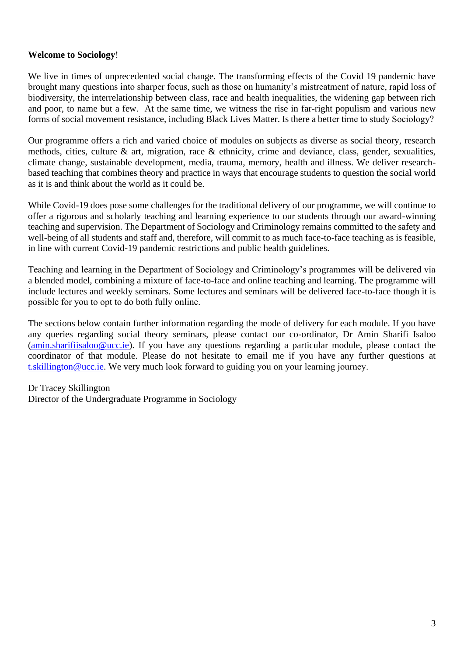#### **Welcome to Sociology**!

We live in times of unprecedented social change. The transforming effects of the Covid 19 pandemic have brought many questions into sharper focus, such as those on humanity's mistreatment of nature, rapid loss of biodiversity, the interrelationship between class, race and health inequalities, the widening gap between rich and poor, to name but a few. At the same time, we witness the rise in far-right populism and various new forms of social movement resistance, including Black Lives Matter. Is there a better time to study Sociology? 

Our programme offers a rich and varied choice of modules on subjects as diverse as social theory, research methods, cities, culture & art, migration, race & ethnicity, crime and deviance, class, gender, sexualities, climate change, sustainable development, media, trauma, memory, health and illness. We deliver researchbased teaching that combines theory and practice in ways that encourage students to question the social world as it is and think about the world as it could be. 

While Covid-19 does pose some challenges for the traditional delivery of our programme, we will continue to offer a rigorous and scholarly teaching and learning experience to our students through our award-winning teaching and supervision. The Department of Sociology and Criminology remains committed to the safety and well-being of all students and staff and, therefore, will commit to as much face-to-face teaching as is feasible, in line with current Covid-19 pandemic restrictions and public health guidelines.

Teaching and learning in the Department of Sociology and Criminology's programmes will be delivered via a blended model, combining a mixture of face-to-face and online teaching and learning. The programme will include lectures and weekly seminars. Some lectures and seminars will be delivered face-to-face though it is possible for you to opt to do both fully online. 

The sections below contain further information regarding the mode of delivery for each module. If you have any queries regarding social theory seminars, please contact our co-ordinator, Dr Amin Sharifi Isaloo [\(amin.sharifiisaloo@ucc.ie\)](mailto:amin.sharifiisaloo@ucc.ie). If you have any questions regarding a particular module, please contact the coordinator of that module. Please do not hesitate to email me if you have any further questions at [t.skillington@ucc.ie.](mailto:t.skillington@ucc.ie) We very much look forward to guiding you on your learning journey. 

Dr Tracey Skillington Director of the Undergraduate Programme in Sociology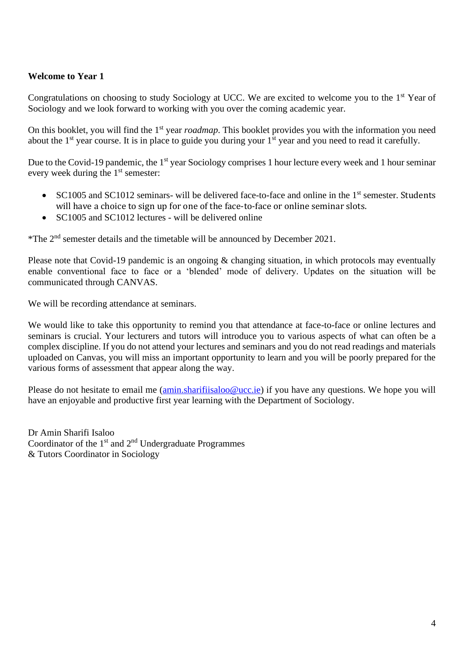## **Welcome to Year 1**

Congratulations on choosing to study Sociology at UCC. We are excited to welcome you to the 1<sup>st</sup> Year of Sociology and we look forward to working with you over the coming academic year.

On this booklet, you will find the 1<sup>st</sup> year *roadmap*. This booklet provides you with the information you need about the 1<sup>st</sup> year course. It is in place to guide you during your 1<sup>st</sup> year and you need to read it carefully.

Due to the Covid-19 pandemic, the 1<sup>st</sup> year Sociology comprises 1 hour lecture every week and 1 hour seminar every week during the 1<sup>st</sup> semester:

- SC1005 and SC1012 seminars- will be delivered face-to-face and online in the 1<sup>st</sup> semester. Students will have a choice to sign up for one of the face-to-face or online seminar slots.
- SC1005 and SC1012 lectures will be delivered online

\*The 2nd semester details and the timetable will be announced by December 2021.

Please note that Covid-19 pandemic is an ongoing & changing situation, in which protocols may eventually enable conventional face to face or a 'blended' mode of delivery. Updates on the situation will be communicated through CANVAS.

We will be recording attendance at seminars.

We would like to take this opportunity to remind you that attendance at face-to-face or online lectures and seminars is crucial. Your lecturers and tutors will introduce you to various aspects of what can often be a complex discipline. If you do not attend your lectures and seminars and you do not read readings and materials uploaded on Canvas, you will miss an important opportunity to learn and you will be poorly prepared for the various forms of assessment that appear along the way.

Please do not hesitate to email me [\(amin.sharifiisaloo@ucc.ie\)](mailto:amin.sharifiisaloo@ucc.ie) if you have any questions. We hope you will have an enjoyable and productive first year learning with the Department of Sociology.

Dr Amin Sharifi Isaloo Coordinator of the  $1<sup>st</sup>$  and  $2<sup>nd</sup>$  Undergraduate Programmes & Tutors Coordinator in Sociology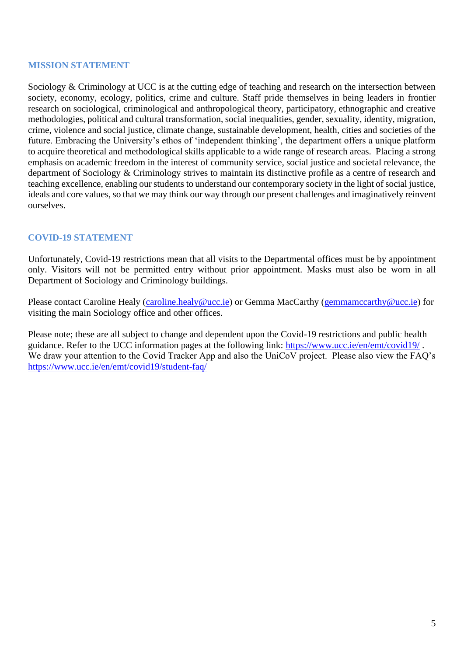#### **MISSION STATEMENT**

Sociology & Criminology at UCC is at the cutting edge of teaching and research on the intersection between society, economy, ecology, politics, crime and culture. Staff pride themselves in being leaders in frontier research on sociological, criminological and anthropological theory, participatory, ethnographic and creative methodologies, political and cultural transformation, social inequalities, gender, sexuality, identity, migration, crime, violence and social justice, climate change, sustainable development, health, cities and societies of the future. Embracing the University's ethos of 'independent thinking', the department offers a unique platform to acquire theoretical and methodological skills applicable to a wide range of research areas. Placing a strong emphasis on academic freedom in the interest of community service, social justice and societal relevance, the department of Sociology & Criminology strives to maintain its distinctive profile as a centre of research and teaching excellence, enabling our students to understand our contemporary society in the light of social justice, ideals and core values, so that we may think our way through our present challenges and imaginatively reinvent ourselves.

## **COVID-19 STATEMENT**

Unfortunately, Covid-19 restrictions mean that all visits to the Departmental offices must be by appointment only. Visitors will not be permitted entry without prior appointment. Masks must also be worn in all Department of Sociology and Criminology buildings.

Please contact Caroline Healy [\(caroline.healy@ucc.ie\)](mailto:caroline.healy@ucc.ie) or Gemma MacCarthy [\(gemmamccarthy@ucc.ie\)](mailto:gemmamccarthy@ucc.ie) for visiting the main Sociology office and other offices.

Please note; these are all subject to change and dependent upon the Covid-19 restrictions and public health guidance. Refer to the UCC information pages at the following link:<https://www.ucc.ie/en/emt/covid19/> . We draw your attention to the Covid Tracker App and also the UniCoV project. Please also view the FAO's <https://www.ucc.ie/en/emt/covid19/student-faq/>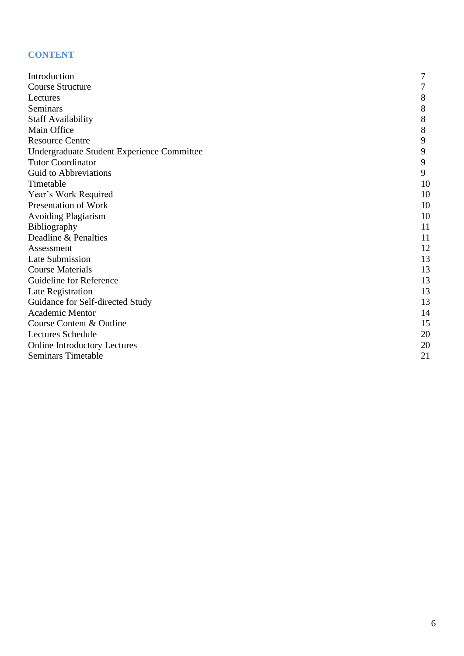# **CONTENT**

| Introduction                               | 7  |
|--------------------------------------------|----|
| <b>Course Structure</b>                    | 7  |
| Lectures                                   | 8  |
| Seminars                                   | 8  |
| <b>Staff Availability</b>                  | 8  |
| Main Office                                | 8  |
| <b>Resource Centre</b>                     | 9  |
| Undergraduate Student Experience Committee | 9  |
| <b>Tutor Coordinator</b>                   | 9  |
| Guid to Abbreviations                      | 9  |
| Timetable                                  | 10 |
| Year's Work Required                       | 10 |
| Presentation of Work                       | 10 |
| <b>Avoiding Plagiarism</b>                 | 10 |
| Bibliography                               | 11 |
| Deadline & Penalties                       | 11 |
| Assessment                                 | 12 |
| Late Submission                            | 13 |
| <b>Course Materials</b>                    | 13 |
| Guideline for Reference                    | 13 |
| Late Registration                          | 13 |
| Guidance for Self-directed Study           | 13 |
| <b>Academic Mentor</b>                     | 14 |
| Course Content & Outline                   | 15 |
| <b>Lectures Schedule</b>                   | 20 |
| <b>Online Introductory Lectures</b>        | 20 |
| <b>Seminars Timetable</b>                  | 21 |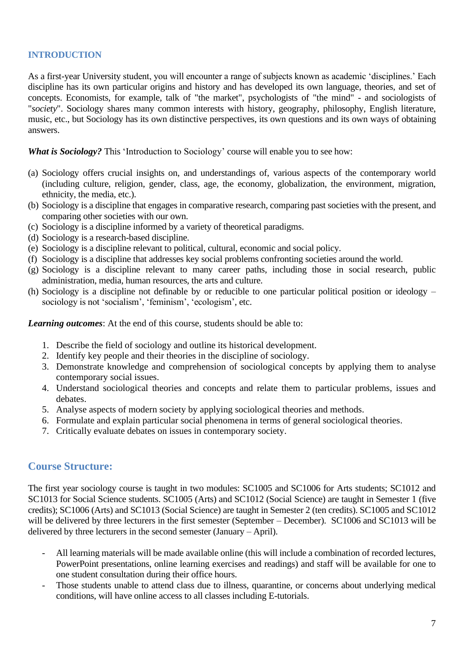### **INTRODUCTION**

As a first-year University student, you will encounter a range of subjects known as academic 'disciplines.' Each discipline has its own particular origins and history and has developed its own language, theories, and set of concepts. Economists, for example, talk of "the market", psychologists of "the mind" - and sociologists of "*society*". Sociology shares many common interests with history, geography, philosophy, English literature, music, etc., but Sociology has its own distinctive perspectives, its own questions and its own ways of obtaining answers.

*What is Sociology?* This 'Introduction to Sociology' course will enable you to see how:

- (a) Sociology offers crucial insights on, and understandings of, various aspects of the contemporary world (including culture, religion, gender, class, age, the economy, globalization, the environment, migration, ethnicity, the media, etc.).
- (b) Sociology is a discipline that engages in comparative research, comparing past societies with the present, and comparing other societies with our own.
- (c) Sociology is a discipline informed by a variety of theoretical paradigms.
- (d) Sociology is a research-based discipline.
- (e) Sociology is a discipline relevant to political, cultural, economic and social policy.
- (f) Sociology is a discipline that addresses key social problems confronting societies around the world.
- (g) Sociology is a discipline relevant to many career paths, including those in social research, public administration, media, human resources, the arts and culture.
- (h) Sociology is a discipline not definable by or reducible to one particular political position or ideology sociology is not 'socialism', 'feminism', 'ecologism', etc.

*Learning outcomes*: At the end of this course, students should be able to:

- 1. Describe the field of sociology and outline its historical development.
- 2. Identify key people and their theories in the discipline of sociology.
- 3. Demonstrate knowledge and comprehension of sociological concepts by applying them to analyse contemporary social issues.
- 4. Understand sociological theories and concepts and relate them to particular problems, issues and debates.
- 5. Analyse aspects of modern society by applying sociological theories and methods.
- 6. Formulate and explain particular social phenomena in terms of general sociological theories.
- 7. Critically evaluate debates on issues in contemporary society.

# **Course Structure:**

The first year sociology course is taught in two modules: SC1005 and SC1006 for Arts students; SC1012 and SC1013 for Social Science students. SC1005 (Arts) and SC1012 (Social Science) are taught in Semester 1 (five credits); SC1006 (Arts) and SC1013 (Social Science) are taught in Semester 2 (ten credits). SC1005 and SC1012 will be delivered by three lecturers in the first semester (September – December). SC1006 and SC1013 will be delivered by three lecturers in the second semester (January – April).

- All learning materials will be made available online (this will include a combination of recorded lectures, PowerPoint presentations, online learning exercises and readings) and staff will be available for one to one student consultation during their office hours.
- Those students unable to attend class due to illness, quarantine, or concerns about underlying medical conditions, will have online access to all classes including E-tutorials.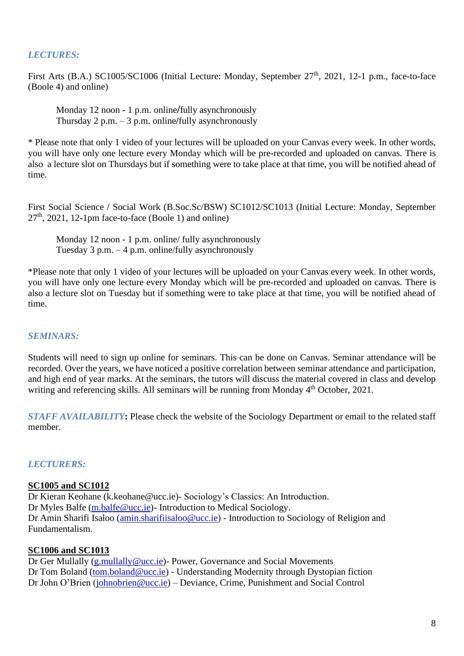# *LECTURES:*

First Arts (B.A.) SC1005/SC1006 (Initial Lecture: Monday, September 27<sup>th</sup>, 2021, 12-1 p.m., face-to-face (Boole 4) and online)

Monday 12 noon - 1 p.m. online**/**fully asynchronously Thursday 2 p.m. – 3 p.m. online**/**fully asynchronously

\* Please note that only 1 video of your lectures will be uploaded on your Canvas every week. In other words, you will have only one lecture every Monday which will be pre-recorded and uploaded on canvas. There is also a lecture slot on Thursdays but if something were to take place at that time, you will be notified ahead of time.

First Social Science / Social Work (B.Soc.Sc/BSW) SC1012/SC1013 (Initial Lecture: Monday, September  $27<sup>th</sup>$ , 2021, 12-1pm face-to-face (Boole 1) and online)

Monday 12 noon - 1 p.m. online/ fully asynchronously Tuesday  $3$  p.m.  $-4$  p.m. online/fully asynchronously

\*Please note that only 1 video of your lectures will be uploaded on your Canvas every week. In other words, you will have only one lecture every Monday which will be pre-recorded and uploaded on canvas. There is also a lecture slot on Tuesday but if something were to take place at that time, you will be notified ahead of time.

#### *SEMINARS:*

Students will need to sign up online for seminars. This can be done on Canvas. Seminar attendance will be recorded. Over the years, we have noticed a positive correlation between seminar attendance and participation, and high end of year marks. At the seminars, the tutors will discuss the material covered in class and develop writing and referencing skills. All seminars will be running from Monday 4<sup>th</sup> October, 2021.

*STAFF AVAILABILITY***:** Please check the website of the Sociology Department or email to the related staff member.

#### *LECTURERS:*

#### **SC1005 and SC1012**

Dr Kieran Keohane [\(k.keohane@ucc.ie\)](mailto:k.keohane@ucc.ie)- Sociology's Classics: An Introduction. Dr Myles Balfe [\(m.balfe@ucc.ie\)](mailto:m.balfe@ucc.ie)- Introduction to Medical Sociology. Dr Amin Sharifi Isaloo [\(amin.sharifiisaloo@ucc.ie\)](mailto:amin.sharifiisaloo@ucc.ie) - Introduction to Sociology of Religion and Fundamentalism.

#### **SC1006 and SC1013**

Dr Ger Mullally [\(g.mullally@ucc.ie\)](mailto:g.mullally@ucc.ie)- Power, Governance and Social Movements Dr Tom Boland [\(tom.boland@ucc.ie\)](mailto:tom.boland@ucc.ie) - Understanding Modernity through Dystopian fiction Dr John O'Brien [\(johnobrien@ucc.ie\)](mailto:johnobrien@ucc.ie) – Deviance, Crime, Punishment and Social Control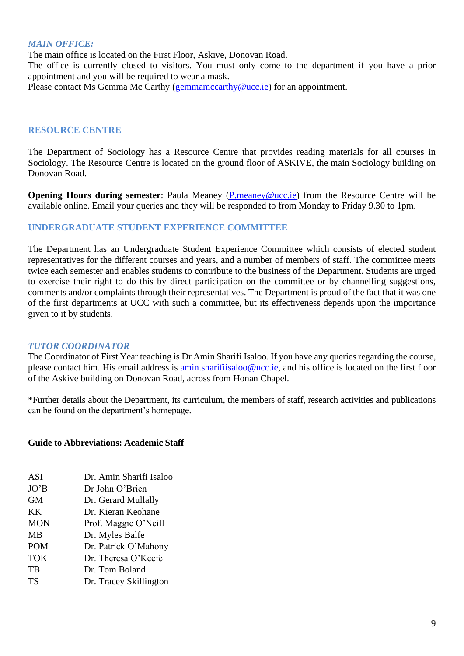#### *MAIN OFFICE:*

The main office is located on the First Floor, Askive, Donovan Road.

The office is currently closed to visitors. You must only come to the department if you have a prior appointment and you will be required to wear a mask.

Please contact Ms Gemma Mc Carthy [\(gemmamccarthy@ucc.ie\)](mailto:gemmamccarthy@ucc.ie) for an appointment.

#### **RESOURCE CENTRE**

The Department of Sociology has a Resource Centre that provides reading materials for all courses in Sociology. The Resource Centre is located on the ground floor of ASKIVE, the main Sociology building on Donovan Road.

**Opening Hours during semester**: Paula Meaney [\(P.meaney@ucc.ie\)](mailto:P.meaney@ucc.ie) from the Resource Centre will be available online. Email your queries and they will be responded to from Monday to Friday 9.30 to 1pm.

#### **UNDERGRADUATE STUDENT EXPERIENCE COMMITTEE**

The Department has an Undergraduate Student Experience Committee which consists of elected student representatives for the different courses and years, and a number of members of staff. The committee meets twice each semester and enables students to contribute to the business of the Department. Students are urged to exercise their right to do this by direct participation on the committee or by channelling suggestions, comments and/or complaints through their representatives. The Department is proud of the fact that it was one of the first departments at UCC with such a committee, but its effectiveness depends upon the importance given to it by students.

#### *TUTOR COORDINATOR*

The Coordinator of First Year teaching is Dr Amin Sharifi Isaloo. If you have any queries regarding the course, please contact him. His email address is *amin.sharifiisaloo@ucc.ie*, and his office is located on the first floor of the Askive building on Donovan Road, across from Honan Chapel.

\*Further details about the Department, its curriculum, the members of staff, research activities and publications can be found on the department's homepage.

#### **Guide to Abbreviations: Academic Staff**

| <b>ASI</b> | Dr. Amin Sharifi Isaloo |
|------------|-------------------------|
| JO'B       | Dr John O'Brien         |
| <b>GM</b>  | Dr. Gerard Mullally     |
| <b>KK</b>  | Dr. Kieran Keohane      |
| <b>MON</b> | Prof. Maggie O'Neill    |
| <b>MB</b>  | Dr. Myles Balfe         |
| <b>POM</b> | Dr. Patrick O'Mahony    |
| <b>TOK</b> | Dr. Theresa O'Keefe     |
| TB         | Dr. Tom Boland          |
| <b>TS</b>  | Dr. Tracey Skillington  |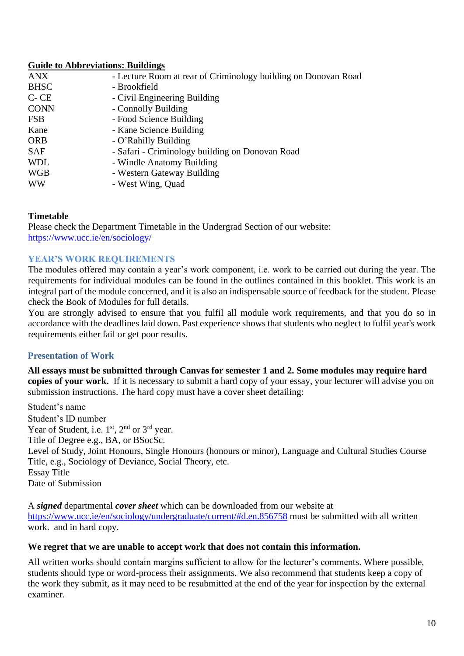## **Guide to Abbreviations: Buildings**

| <b>ANX</b>  | - Lecture Room at rear of Criminology building on Donovan Road |
|-------------|----------------------------------------------------------------|
| <b>BHSC</b> | - Brookfield                                                   |
| $C$ - $CE$  | - Civil Engineering Building                                   |
| <b>CONN</b> | - Connolly Building                                            |
| <b>FSB</b>  | - Food Science Building                                        |
| Kane        | - Kane Science Building                                        |
| <b>ORB</b>  | - O'Rahilly Building                                           |
| <b>SAF</b>  | - Safari - Criminology building on Donovan Road                |
| <b>WDL</b>  | - Windle Anatomy Building                                      |
| <b>WGB</b>  | - Western Gateway Building                                     |
| <b>WW</b>   | - West Wing, Quad                                              |

#### **Timetable**

Please check the Department Timetable in the Undergrad Section of our website: <https://www.ucc.ie/en/sociology/>

#### **YEAR'S WORK REQUIREMENTS**

The modules offered may contain a year's work component, i.e. work to be carried out during the year. The requirements for individual modules can be found in the outlines contained in this booklet. This work is an integral part of the module concerned, and it is also an indispensable source of feedback for the student. Please check the Book of Modules for full details.

You are strongly advised to ensure that you fulfil all module work requirements, and that you do so in accordance with the deadlines laid down. Past experience shows that students who neglect to fulfil year's work requirements either fail or get poor results.

#### **Presentation of Work**

**All essays must be submitted through Canvas for semester 1 and 2. Some modules may require hard copies of your work.** If it is necessary to submit a hard copy of your essay, your lecturer will advise you on submission instructions. The hard copy must have a cover sheet detailing:

Student's name Student's ID number Year of Student, i.e.  $1<sup>st</sup>$ ,  $2<sup>nd</sup>$  or  $3<sup>rd</sup>$  year. Title of Degree e.g., BA, or BSocSc. Level of Study, Joint Honours, Single Honours (honours or minor), Language and Cultural Studies Course Title, e.g., Sociology of Deviance, Social Theory, etc. Essay Title Date of Submission

A *signed* departmental *cover sheet* which can be downloaded from our website at <https://www.ucc.ie/en/sociology/undergraduate/current/#d.en.856758> must be submitted with all written work. and in hard copy.

#### **We regret that we are unable to accept work that does not contain this information.**

All written works should contain margins sufficient to allow for the lecturer's comments. Where possible, students should type or word-process their assignments. We also recommend that students keep a copy of the work they submit, as it may need to be resubmitted at the end of the year for inspection by the external examiner.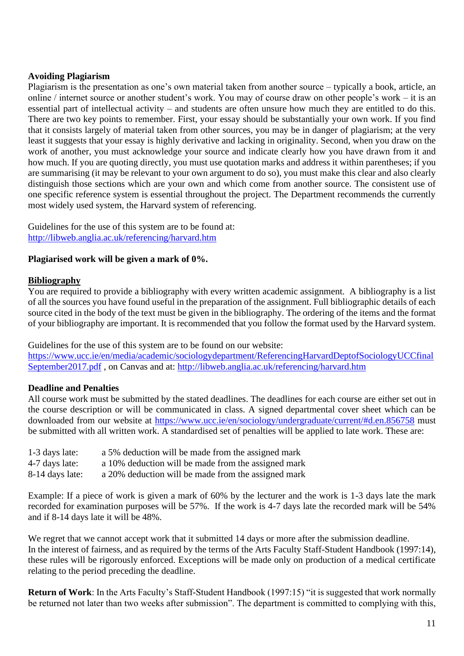#### **Avoiding Plagiarism**

Plagiarism is the presentation as one's own material taken from another source – typically a book, article, an online / internet source or another student's work. You may of course draw on other people's work – it is an essential part of intellectual activity – and students are often unsure how much they are entitled to do this. There are two key points to remember. First, your essay should be substantially your own work. If you find that it consists largely of material taken from other sources, you may be in danger of plagiarism; at the very least it suggests that your essay is highly derivative and lacking in originality. Second, when you draw on the work of another, you must acknowledge your source and indicate clearly how you have drawn from it and how much. If you are quoting directly, you must use quotation marks and address it within parentheses; if you are summarising (it may be relevant to your own argument to do so), you must make this clear and also clearly distinguish those sections which are your own and which come from another source. The consistent use of one specific reference system is essential throughout the project. The Department recommends the currently most widely used system, the Harvard system of referencing.

Guidelines for the use of this system are to be found at: <http://libweb.anglia.ac.uk/referencing/harvard.htm>

#### **Plagiarised work will be given a mark of 0%.**

#### **Bibliography**

You are required to provide a bibliography with every written academic assignment. A bibliography is a list of all the sources you have found useful in the preparation of the assignment. Full bibliographic details of each source cited in the body of the text must be given in the bibliography. The ordering of the items and the format of your bibliography are important. It is recommended that you follow the format used by the Harvard system.

Guidelines for the use of this system are to be found on our website:

[https://www.ucc.ie/en/media/academic/sociologydepartment/ReferencingHarvardDeptofSociologyUCCfinal](https://www.ucc.ie/en/media/academic/sociologydepartment/ReferencingHarvardDeptofSociologyUCCfinalSeptember2017.pdf) [September2017.pdf](https://www.ucc.ie/en/media/academic/sociologydepartment/ReferencingHarvardDeptofSociologyUCCfinalSeptember2017.pdf) , on Canvas and at:<http://libweb.anglia.ac.uk/referencing/harvard.htm>

#### **Deadline and Penalties**

All course work must be submitted by the stated deadlines. The deadlines for each course are either set out in the course description or will be communicated in class. A signed departmental cover sheet which can be downloaded from our website at <https://www.ucc.ie/en/sociology/undergraduate/current/#d.en.856758> must be submitted with all written work. A standardised set of penalties will be applied to late work. These are:

| 1-3 days late:  | a 5% deduction will be made from the assigned mark  |
|-----------------|-----------------------------------------------------|
| 4-7 days late:  | a 10% deduction will be made from the assigned mark |
| 8-14 days late: | a 20% deduction will be made from the assigned mark |

Example: If a piece of work is given a mark of 60% by the lecturer and the work is 1-3 days late the mark recorded for examination purposes will be 57%. If the work is 4-7 days late the recorded mark will be 54% and if 8-14 days late it will be 48%.

We regret that we cannot accept work that it submitted 14 days or more after the submission deadline. In the interest of fairness, and as required by the terms of the Arts Faculty Staff-Student Handbook (1997:14), these rules will be rigorously enforced. Exceptions will be made only on production of a medical certificate relating to the period preceding the deadline.

**Return of Work**: In the Arts Faculty's Staff-Student Handbook (1997:15) "it is suggested that work normally be returned not later than two weeks after submission". The department is committed to complying with this,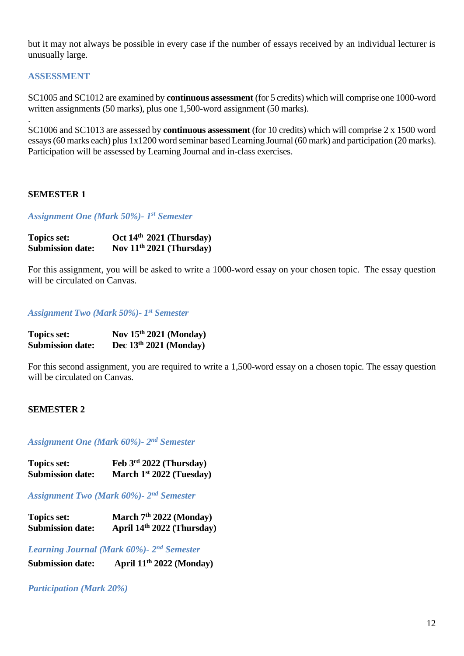but it may not always be possible in every case if the number of essays received by an individual lecturer is unusually large.

#### **ASSESSMENT**

.

SC1005 and SC1012 are examined by **continuous assessment** (for 5 credits) which will comprise one 1000-word written assignments (50 marks), plus one 1,500-word assignment (50 marks).

SC1006 and SC1013 are assessed by **continuous assessment** (for 10 credits) which will comprise 2 x 1500 word essays (60 marks each) plus 1x1200 word seminar based Learning Journal (60 mark) and participation (20 marks). Participation will be assessed by Learning Journal and in-class exercises.

#### **SEMESTER 1**

*Assignment One (Mark 50%)- 1 st Semester*

| <b>Topics set:</b>      | Oct $14th 2021$ (Thursday) |
|-------------------------|----------------------------|
| <b>Submission date:</b> | Nov $11th 2021$ (Thursday) |

For this assignment, you will be asked to write a 1000-word essay on your chosen topic. The essay question will be circulated on Canvas.

#### *Assignment Two (Mark 50%)- 1 st Semester*

| <b>Topics set:</b>      | Nov $15th 2021$ (Monday) |
|-------------------------|--------------------------|
| <b>Submission date:</b> | Dec $13th 2021$ (Monday) |

For this second assignment, you are required to write a 1,500-word essay on a chosen topic. The essay question will be circulated on Canvas.

#### **SEMESTER 2**

#### *Assignment One (Mark 60%)- 2 nd Semester*

| <b>Topics set:</b>      | Feb $3rd 2022$ (Thursday)  |
|-------------------------|----------------------------|
| <b>Submission date:</b> | March $1st 2022$ (Tuesday) |

*Assignment Two (Mark 60%)- 2 nd Semester*

| <b>Topics set:</b>      | March $7th 2022$ (Monday)  |
|-------------------------|----------------------------|
| <b>Submission date:</b> | April 14th 2022 (Thursday) |

#### *Learning Journal (Mark 60%)- 2 nd Semester*

**Submission date: th 2022 (Monday)**

#### *Participation (Mark 20%)*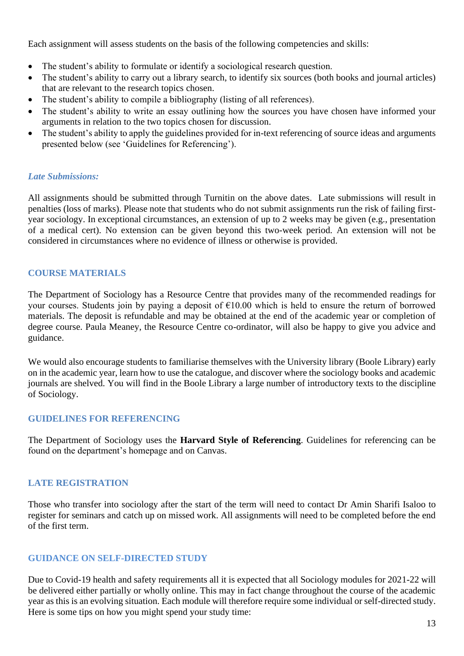Each assignment will assess students on the basis of the following competencies and skills:

- The student's ability to formulate or identify a sociological research question.
- The student's ability to carry out a library search, to identify six sources (both books and journal articles) that are relevant to the research topics chosen.
- The student's ability to compile a bibliography (listing of all references).
- The student's ability to write an essay outlining how the sources you have chosen have informed your arguments in relation to the two topics chosen for discussion.
- The student's ability to apply the guidelines provided for in-text referencing of source ideas and arguments presented below (see 'Guidelines for Referencing').

## *Late Submissions:*

All assignments should be submitted through Turnitin on the above dates. Late submissions will result in penalties (loss of marks). Please note that students who do not submit assignments run the risk of failing firstyear sociology. In exceptional circumstances, an extension of up to 2 weeks may be given (e.g., presentation of a medical cert). No extension can be given beyond this two-week period. An extension will not be considered in circumstances where no evidence of illness or otherwise is provided.

## **COURSE MATERIALS**

The Department of Sociology has a Resource Centre that provides many of the recommended readings for your courses. Students join by paying a deposit of  $\epsilon$ 10.00 which is held to ensure the return of borrowed materials. The deposit is refundable and may be obtained at the end of the academic year or completion of degree course. Paula Meaney, the Resource Centre co-ordinator, will also be happy to give you advice and guidance.

We would also encourage students to familiarise themselves with the University library (Boole Library) early on in the academic year, learn how to use the catalogue, and discover where the sociology books and academic journals are shelved. You will find in the Boole Library a large number of introductory texts to the discipline of Sociology.

#### **GUIDELINES FOR REFERENCING**

The Department of Sociology uses the **Harvard Style of Referencing**. Guidelines for referencing can be found on the department's homepage and on Canvas.

#### **LATE REGISTRATION**

Those who transfer into sociology after the start of the term will need to contact Dr Amin Sharifi Isaloo to register for seminars and catch up on missed work. All assignments will need to be completed before the end of the first term.

#### **GUIDANCE ON SELF-DIRECTED STUDY**

Due to Covid-19 health and safety requirements all it is expected that all Sociology modules for 2021-22 will be delivered either partially or wholly online. This may in fact change throughout the course of the academic year as this is an evolving situation. Each module will therefore require some individual or self-directed study. Here is some tips on how you might spend your study time: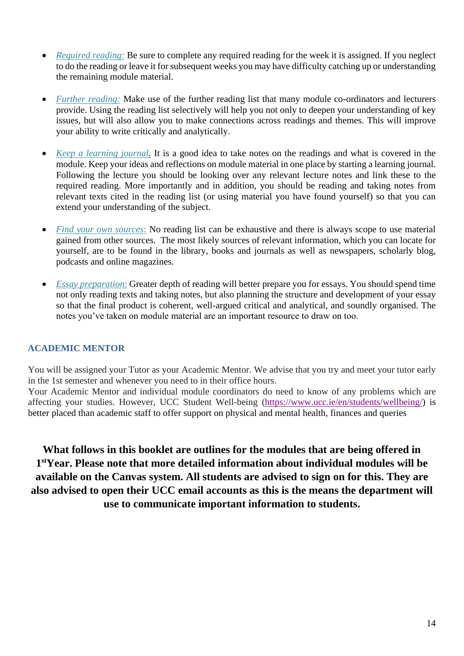- *Required reading:* Be sure to complete any required reading for the week it is assigned. If you neglect to do the reading or leave it for subsequent weeks you may have difficulty catching up or understanding the remaining module material.
- *Further reading:* Make use of the further reading list that many module co-ordinators and lecturers provide. Using the reading list selectively will help you not only to deepen your understanding of key issues, but will also allow you to make connections across readings and themes. This will improve your ability to write critically and analytically.
- *Keep a learning journal.* It is a good idea to take notes on the readings and what is covered in the module. Keep your ideas and reflections on module material in one place by starting a learning journal. Following the lecture you should be looking over any relevant lecture notes and link these to the required reading. More importantly and in addition, you should be reading and taking notes from relevant texts cited in the reading list (or using material you have found yourself) so that you can extend your understanding of the subject.
- *Find your own sources*: No reading list can be exhaustive and there is always scope to use material gained from other sources. The most likely sources of relevant information, which you can locate for yourself, are to be found in the library, books and journals as well as newspapers, scholarly blog, podcasts and online magazines.
- *Essay preparation*: Greater depth of reading will better prepare you for essays. You should spend time not only reading texts and taking notes, but also planning the structure and development of your essay so that the final product is coherent, well-argued critical and analytical, and soundly organised. The notes you've taken on module material are an important resource to draw on too.

# **ACADEMIC MENTOR**

You will be assigned your Tutor as your Academic Mentor. We advise that you try and meet your tutor early in the 1st semester and whenever you need to in their office hours.

Your Academic Mentor and individual module coordinators do need to know of any problems which are affecting your studies. However, UCC Student Well-being [\(https://www.ucc.ie/en/students/wellbeing/\)](https://www.ucc.ie/en/students/wellbeing/) is better placed than academic staff to offer support on physical and mental health, finances and queries

**What follows in this booklet are outlines for the modules that are being offered in 1 stYear. Please note that more detailed information about individual modules will be available on the Canvas system. All students are advised to sign on for this. They are also advised to open their UCC email accounts as this is the means the department will use to communicate important information to students.**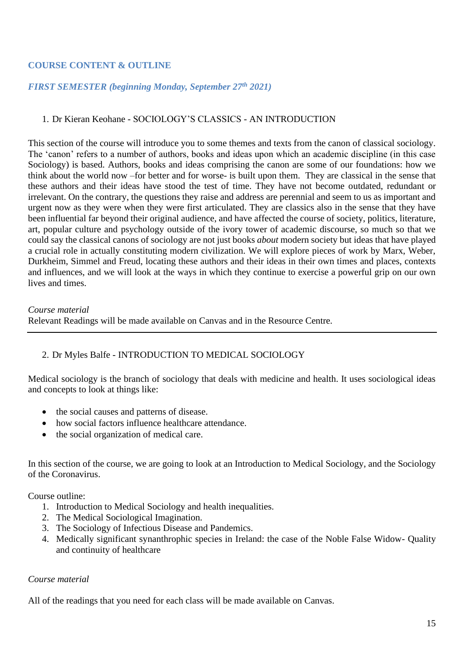#### **COURSE CONTENT & OUTLINE**

#### *FIRST SEMESTER (beginning Monday, September 27 th 2021)*

#### 1. Dr Kieran Keohane - SOCIOLOGY'S CLASSICS - AN INTRODUCTION

This section of the course will introduce you to some themes and texts from the canon of classical sociology. The 'canon' refers to a number of authors, books and ideas upon which an academic discipline (in this case Sociology) is based. Authors, books and ideas comprising the canon are some of our foundations: how we think about the world now –for better and for worse- is built upon them. They are classical in the sense that these authors and their ideas have stood the test of time. They have not become outdated, redundant or irrelevant. On the contrary, the questions they raise and address are perennial and seem to us as important and urgent now as they were when they were first articulated. They are classics also in the sense that they have been influential far beyond their original audience, and have affected the course of society, politics, literature, art, popular culture and psychology outside of the ivory tower of academic discourse, so much so that we could say the classical canons of sociology are not just books *about* modern society but ideas that have played a crucial role in actually constituting modern civilization. We will explore pieces of work by Marx, Weber, Durkheim, Simmel and Freud, locating these authors and their ideas in their own times and places, contexts and influences, and we will look at the ways in which they continue to exercise a powerful grip on our own lives and times.

#### *Course material*

Relevant Readings will be made available on Canvas and in the Resource Centre*.* 

#### 2. Dr Myles Balfe - INTRODUCTION TO MEDICAL SOCIOLOGY

Medical sociology is the branch of sociology that deals with medicine and health. It uses sociological ideas and concepts to look at things like:

- the social causes and patterns of disease.
- how social factors influence healthcare attendance.
- the social organization of medical care.

In this section of the course, we are going to look at an Introduction to Medical Sociology, and the Sociology of the Coronavirus.

Course outline:

- 1. Introduction to Medical Sociology and health inequalities.
- 2. The Medical Sociological Imagination.
- 3. The Sociology of Infectious Disease and Pandemics.
- 4. Medically significant synanthrophic species in Ireland: the case of the Noble False Widow- Quality and continuity of healthcare

#### *Course material*

All of the readings that you need for each class will be made available on Canvas.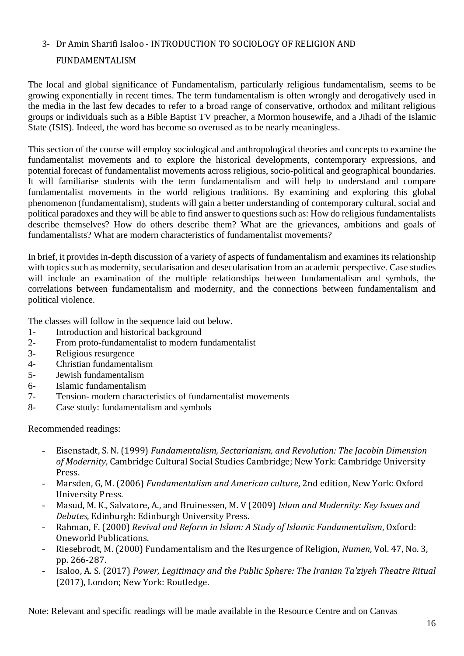# 3- Dr Amin Sharifi Isaloo - INTRODUCTION TO SOCIOLOGY OF RELIGION AND

# FUNDAMENTALISM

The local and global significance of Fundamentalism, particularly religious fundamentalism, seems to be growing exponentially in recent times. The term fundamentalism is often wrongly and derogatively used in the media in the last few decades to refer to a broad range of conservative, orthodox and militant religious groups or individuals such as a Bible Baptist TV preacher, a Mormon housewife, and a Jihadi of the Islamic State (ISIS). Indeed, the word has become so overused as to be nearly meaningless.

This section of the course will employ sociological and anthropological theories and concepts to examine the fundamentalist movements and to explore the historical developments, contemporary expressions, and potential forecast of fundamentalist movements across religious, socio-political and geographical boundaries. It will familiarise students with the term fundamentalism and will help to understand and compare fundamentalist movements in the world religious traditions. By examining and exploring this global phenomenon (fundamentalism), students will gain a better understanding of contemporary cultural, social and political paradoxes and they will be able to find answer to questions such as: How do religious fundamentalists describe themselves? How do others describe them? What are the grievances, ambitions and goals of fundamentalists? What are modern characteristics of fundamentalist movements?

In brief, it provides in-depth discussion of a variety of aspects of fundamentalism and examines its relationship with topics such as modernity, secularisation and desecularisation from an academic perspective. Case studies will include an examination of the multiple relationships between fundamentalism and symbols, the correlations between fundamentalism and modernity, and the connections between fundamentalism and political violence.

The classes will follow in the sequence laid out below.

- 1- Introduction and historical background
- 2- From proto-fundamentalist to modern fundamentalist
- 3- Religious resurgence
- 4- Christian fundamentalism
- 5- Jewish fundamentalism
- 6- Islamic fundamentalism
- 7- Tension- modern characteristics of fundamentalist movements
- 8- Case study: fundamentalism and symbols

Recommended readings:

- Eisenstadt, S. N. (1999) *Fundamentalism, Sectarianism, and Revolution: The Jacobin Dimension of Modernity*, Cambridge Cultural Social Studies Cambridge; New York: Cambridge University Press.
- Marsden, G, M. (2006) *Fundamentalism and American culture*, 2nd edition, New York: Oxford University Press.
- Masud, M. K., Salvatore, A., and Bruinessen, M. V (2009) *Islam and Modernity: Key Issues and Debates*, Edinburgh: Edinburgh University Press.
- Rahman, F. (2000) *Revival and Reform in Islam: A Study of Islamic Fundamentalism*, Oxford: Oneworld Publications.
- Riesebrodt, M. (2000) Fundamentalism and the Resurgence of Religion, *Numen*, Vol. 47, No. 3, pp. 266-287.
- Isaloo, A. S. (2017) *Power, Legitimacy and the Public Sphere: The Iranian Ta'ziyeh Theatre Ritual* (2017), London; New York: Routledge.

Note: Relevant and specific readings will be made available in the Resource Centre and on Canvas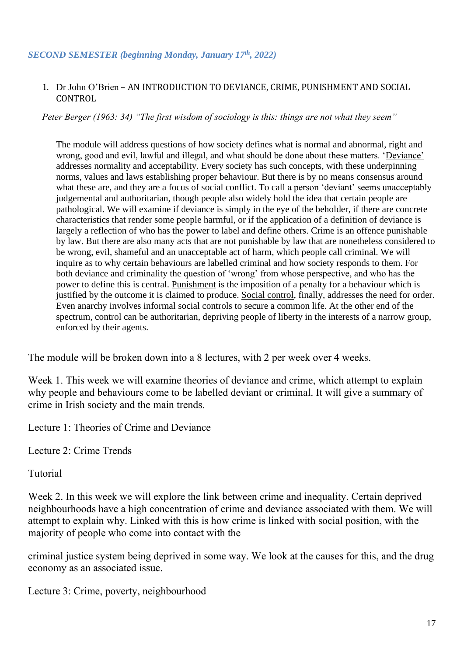## *SECOND SEMESTER (beginning Monday, January 17th, 2022)*

#### 1. Dr John O'Brien – AN INTRODUCTION TO DEVIANCE, CRIME, PUNISHMENT AND SOCIAL CONTROL

*Peter Berger (1963: 34) "The first wisdom of sociology is this: things are not what they seem"*

The module will address questions of how society defines what is normal and abnormal, right and wrong, good and evil, lawful and illegal, and what should be done about these matters. 'Deviance' addresses normality and acceptability. Every society has such concepts, with these underpinning norms, values and laws establishing proper behaviour. But there is by no means consensus around what these are, and they are a focus of social conflict. To call a person 'deviant' seems unacceptably judgemental and authoritarian, though people also widely hold the idea that certain people are pathological. We will examine if deviance is simply in the eye of the beholder, if there are concrete characteristics that render some people harmful, or if the application of a definition of deviance is largely a reflection of who has the power to label and define others. Crime is an offence punishable by law. But there are also many acts that are not punishable by law that are nonetheless considered to be wrong, evil, shameful and an unacceptable act of harm, which people call criminal. We will inquire as to why certain behaviours are labelled criminal and how society responds to them. For both deviance and criminality the question of 'wrong' from whose perspective, and who has the power to define this is central. Punishment is the imposition of a penalty for a behaviour which is justified by the outcome it is claimed to produce. Social control, finally, addresses the need for order. Even anarchy involves informal social controls to secure a common life. At the other end of the spectrum, control can be authoritarian, depriving people of liberty in the interests of a narrow group, enforced by their agents.

The module will be broken down into a 8 lectures, with 2 per week over 4 weeks.

Week 1. This week we will examine theories of deviance and crime, which attempt to explain why people and behaviours come to be labelled deviant or criminal. It will give a summary of crime in Irish society and the main trends.

Lecture 1: Theories of Crime and Deviance

Lecture 2: Crime Trends

# Tutorial

Week 2. In this week we will explore the link between crime and inequality. Certain deprived neighbourhoods have a high concentration of crime and deviance associated with them. We will attempt to explain why. Linked with this is how crime is linked with social position, with the majority of people who come into contact with the

criminal justice system being deprived in some way. We look at the causes for this, and the drug economy as an associated issue.

Lecture 3: Crime, poverty, neighbourhood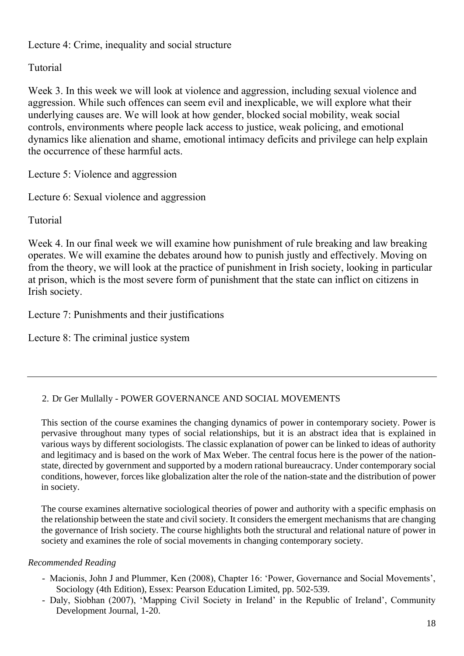Lecture 4: Crime, inequality and social structure

# Tutorial

Week 3. In this week we will look at violence and aggression, including sexual violence and aggression. While such offences can seem evil and inexplicable, we will explore what their underlying causes are. We will look at how gender, blocked social mobility, weak social controls, environments where people lack access to justice, weak policing, and emotional dynamics like alienation and shame, emotional intimacy deficits and privilege can help explain the occurrence of these harmful acts.

Lecture 5: Violence and aggression

Lecture 6: Sexual violence and aggression

Tutorial

Week 4. In our final week we will examine how punishment of rule breaking and law breaking operates. We will examine the debates around how to punish justly and effectively. Moving on from the theory, we will look at the practice of punishment in Irish society, looking in particular at prison, which is the most severe form of punishment that the state can inflict on citizens in Irish society.

Lecture 7: Punishments and their justifications

Lecture 8: The criminal justice system

# 2. Dr Ger Mullally - POWER GOVERNANCE AND SOCIAL MOVEMENTS

This section of the course examines the changing dynamics of power in contemporary society. Power is pervasive throughout many types of social relationships, but it is an abstract idea that is explained in various ways by different sociologists. The classic explanation of power can be linked to ideas of authority and legitimacy and is based on the work of Max Weber. The central focus here is the power of the nationstate, directed by government and supported by a modern rational bureaucracy. Under contemporary social conditions, however, forces like globalization alter the role of the nation-state and the distribution of power in society.

The course examines alternative sociological theories of power and authority with a specific emphasis on the relationship between the state and civil society. It considers the emergent mechanisms that are changing the governance of Irish society. The course highlights both the structural and relational nature of power in society and examines the role of social movements in changing contemporary society.

# *Recommended Reading*

- Macionis, John J and Plummer, Ken (2008), Chapter 16: 'Power, Governance and Social Movements', Sociology (4th Edition), Essex: Pearson Education Limited, pp. 502-539.
- Daly, Siobhan (2007), 'Mapping Civil Society in Ireland' in the Republic of Ireland', Community Development Journal, 1-20.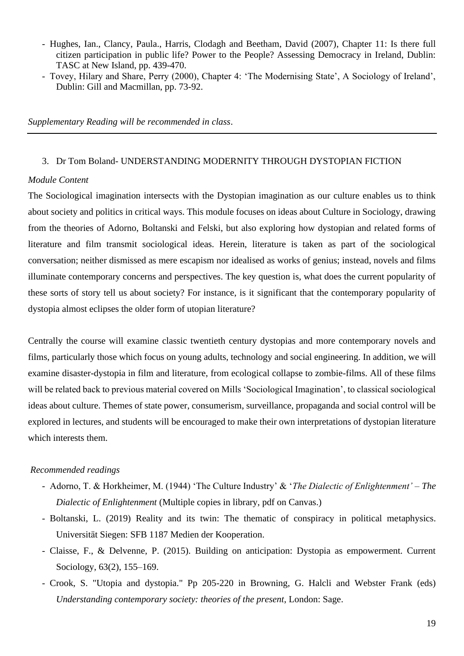- Hughes, Ian., Clancy, Paula., Harris, Clodagh and Beetham, David (2007), Chapter 11: Is there full citizen participation in public life? Power to the People? Assessing Democracy in Ireland, Dublin: TASC at New Island, pp. 439-470.
- Tovey, Hilary and Share, Perry (2000), Chapter 4: 'The Modernising State', A Sociology of Ireland', Dublin: Gill and Macmillan, pp. 73-92.

*Supplementary Reading will be recommended in class*.

#### 3. Dr Tom Boland- UNDERSTANDING MODERNITY THROUGH DYSTOPIAN FICTION

#### *Module Content*

The Sociological imagination intersects with the Dystopian imagination as our culture enables us to think about society and politics in critical ways. This module focuses on ideas about Culture in Sociology, drawing from the theories of Adorno, Boltanski and Felski, but also exploring how dystopian and related forms of literature and film transmit sociological ideas. Herein, literature is taken as part of the sociological conversation; neither dismissed as mere escapism nor idealised as works of genius; instead, novels and films illuminate contemporary concerns and perspectives. The key question is, what does the current popularity of these sorts of story tell us about society? For instance, is it significant that the contemporary popularity of dystopia almost eclipses the older form of utopian literature?

Centrally the course will examine classic twentieth century dystopias and more contemporary novels and films, particularly those which focus on young adults, technology and social engineering. In addition, we will examine disaster-dystopia in film and literature, from ecological collapse to zombie-films. All of these films will be related back to previous material covered on Mills 'Sociological Imagination', to classical sociological ideas about culture. Themes of state power, consumerism, surveillance, propaganda and social control will be explored in lectures, and students will be encouraged to make their own interpretations of dystopian literature which interests them.

#### *Recommended readings*

- Adorno, T. & Horkheimer, M. (1944) 'The Culture Industry' & '*The Dialectic of Enlightenment' – The Dialectic of Enlightenment* (Multiple copies in library, pdf on Canvas.)
- Boltanski, L. (2019) Reality and its twin: The thematic of conspiracy in political metaphysics. Universität Siegen: SFB 1187 Medien der Kooperation.
- Claisse, F., & Delvenne, P. (2015). Building on anticipation: Dystopia as empowerment. Current Sociology, 63(2), 155–169.
- Crook, S. "Utopia and dystopia." Pp 205-220 in Browning, G. Halcli and Webster Frank (eds) *Understanding contemporary society: theories of the present*, London: Sage.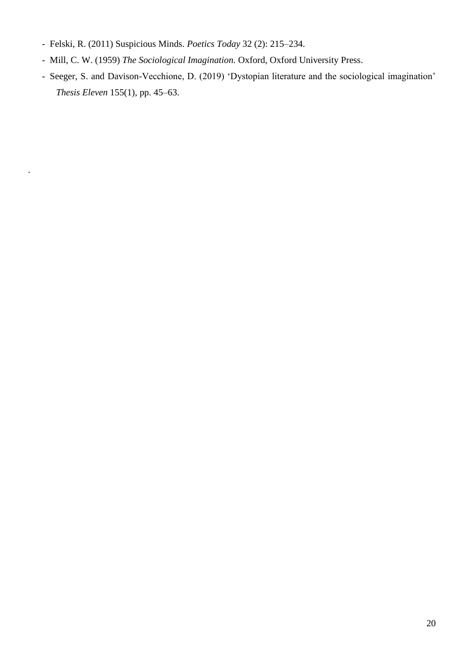- Felski, R. (2011) Suspicious Minds. *Poetics Today* 32 (2): 215–234.

.

- Mill, C. W. (1959) *The Sociological Imagination.* Oxford, Oxford University Press.
- Seeger, S. and Davison-Vecchione, D. (2019) 'Dystopian literature and the sociological imagination' *Thesis Eleven* 155(1), pp. 45–63.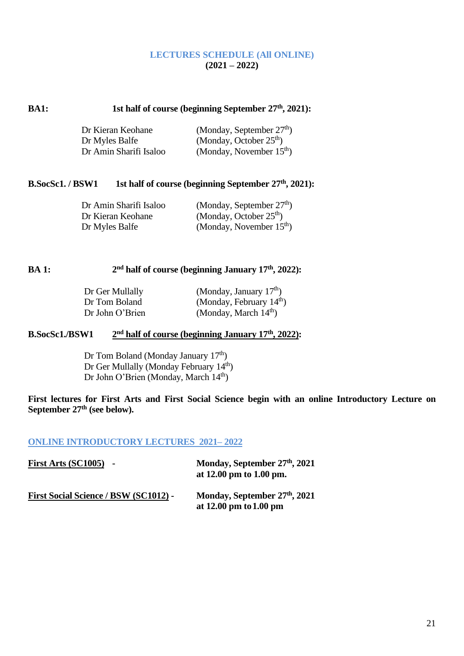#### **LECTURES SCHEDULE (All ONLINE) (2021 – 2022)**

#### **BA1:** 1st half of course (beginning September 27<sup>th</sup>, 2021):

| Dr Kieran Keohane      | (Monday, September $27th$ ) |
|------------------------|-----------------------------|
| Dr Myles Balfe         | (Monday, October $25th$ )   |
| Dr Amin Sharifi Isaloo | (Monday, November $15th$ )  |

#### **B.SocSc1. / BSW1** 1st half of course (beginning September 27<sup>th</sup>, 2021):

| Dr Amin Sharifi Isaloo | (Monday, September $27th$ ) |
|------------------------|-----------------------------|
| Dr Kieran Keohane      | (Monday, October $25th$ )   |
| Dr Myles Balfe         | (Monday, November $15th$ )  |

#### **BA 1: 2 nd half of course (beginning January 17th, 2022):**

| Dr Ger Mullally | (Monday, January $17th$ )  |
|-----------------|----------------------------|
| Dr Tom Boland   | (Monday, February $14th$ ) |
| Dr John O'Brien | (Monday, March $14th$ )    |

#### **B.SocSc1./BSW1 2 nd half of course (beginning January 17th, 2022):**

Dr Tom Boland (Monday January  $17<sup>th</sup>$ ) Dr Ger Mullally (Monday February 14<sup>th</sup>) Dr John O'Brien (Monday, March 14th)

**First lectures for First Arts and First Social Science begin with an online Introductory Lecture on September 27 th (see below).** 

#### **ONLINE INTRODUCTORY LECTURES 2021– 2022**

| $First Arts (SC1005) -$                      | Monday, September 27th, 2021<br>at $12.00 \text{ pm}$ to $1.00 \text{ pm}$ . |
|----------------------------------------------|------------------------------------------------------------------------------|
| <b>First Social Science / BSW (SC1012) -</b> | Monday, September 27th, 2021<br>at $12.00 \text{ pm}$ to $1.00 \text{ pm}$   |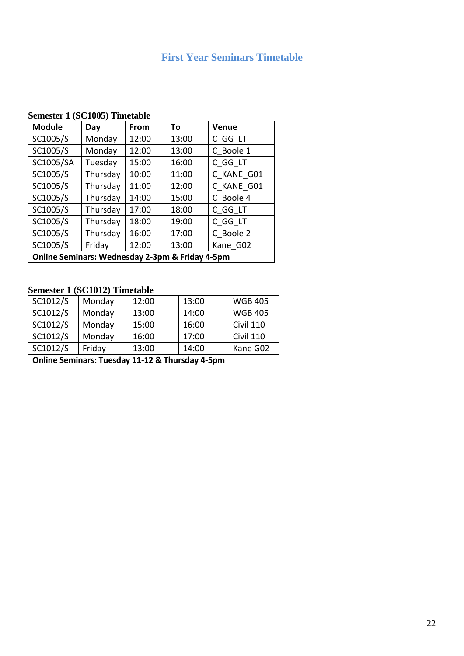# **First Year Seminars Timetable**

# **Semester 1 (SC1005) Timetable**

| <b>Module</b>                                   | Day      | From  | Τo    | <b>Venue</b> |
|-------------------------------------------------|----------|-------|-------|--------------|
| SC1005/S                                        | Monday   | 12:00 | 13:00 | C GG LT      |
| SC1005/S                                        | Monday   | 12:00 | 13:00 | C Boole 1    |
| SC1005/SA                                       | Tuesday  | 15:00 | 16:00 | C GG LT      |
| SC1005/S                                        | Thursday | 10:00 | 11:00 | C KANE G01   |
| SC1005/S                                        | Thursday | 11:00 | 12:00 | C KANE G01   |
| SC1005/S                                        | Thursday | 14:00 | 15:00 | C Boole 4    |
| SC1005/S                                        | Thursday | 17:00 | 18:00 | C GG LT      |
| SC1005/S                                        | Thursday | 18:00 | 19:00 | C GG LT      |
| SC1005/S                                        | Thursday | 16:00 | 17:00 | C Boole 2    |
| SC1005/S                                        | Friday   | 12:00 | 13:00 | Kane G02     |
| Online Seminars: Wednesday 2-3pm & Friday 4-5pm |          |       |       |              |

# **Semester 1 (SC1012) Timetable**

| SC1012/S                                        | Monday | 12:00 | 13:00 | <b>WGB 405</b>   |
|-------------------------------------------------|--------|-------|-------|------------------|
| SC1012/S                                        | Monday | 13:00 | 14:00 | <b>WGB 405</b>   |
| SC1012/S                                        | Monday | 15:00 | 16:00 | <b>Civil 110</b> |
| SC1012/S                                        | Monday | 16:00 | 17:00 | <b>Civil 110</b> |
| SC1012/S                                        | Friday | 13:00 | 14:00 | Kane G02         |
| Online Seminars: Tuesday 11-12 & Thursday 4-5pm |        |       |       |                  |